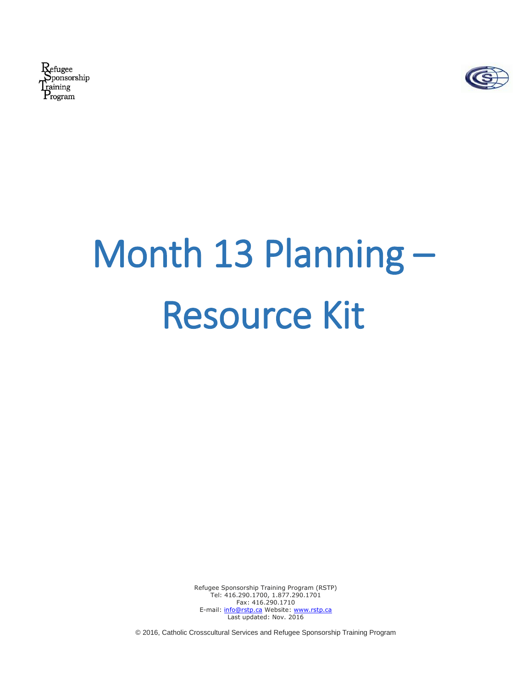Refugee **Sponsorship** raining  $\mathrm{P}_{\mathrm{rogram}}$ 



# Month 13 Planning – Resource Kit

Refugee Sponsorship Training Program (RSTP) Tel: 416.290.1700, 1.877.290.1701 Fax: 416.290.1710 E-mail: [info@rstp.ca](mailto:info@rstp.ca) Website: [www.rstp.ca](http://www.rstp.ca/) Last updated: Nov. 2016

© 2016, Catholic Crosscultural Services and Refugee Sponsorship Training Program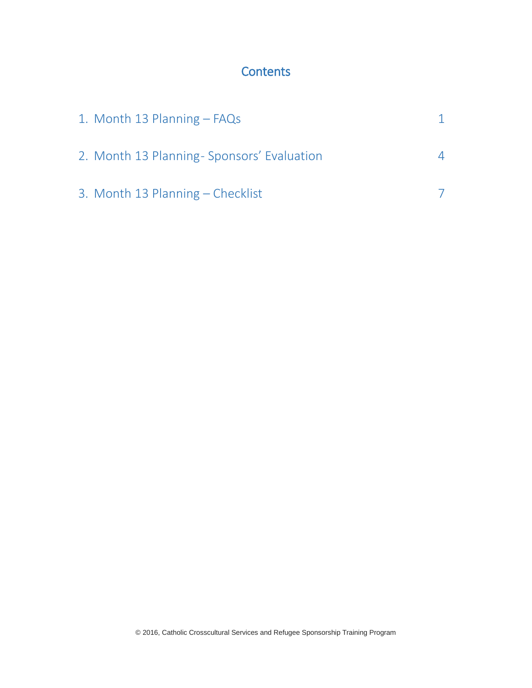# **Contents**

| 1. Month 13 Planning - FAQs               |  |
|-------------------------------------------|--|
| 2. Month 13 Planning-Sponsors' Evaluation |  |
| 3. Month 13 Planning – Checklist          |  |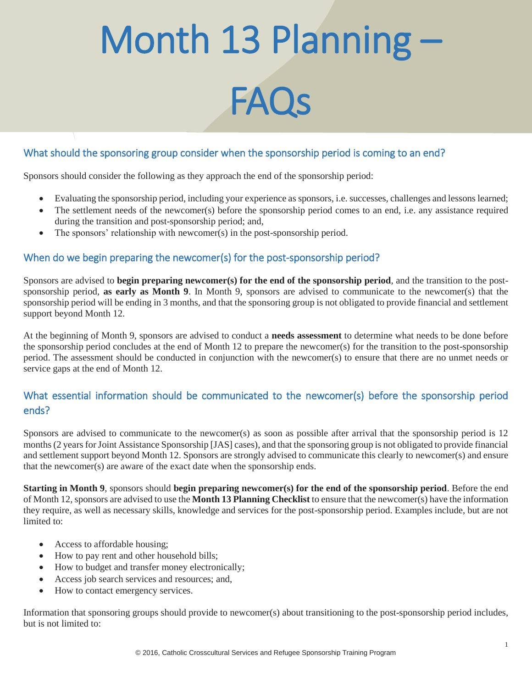# Month 13 Planning – FAQs

## What should the sponsoring group consider when the sponsorship period is coming to an end?

Sponsors should consider the following as they approach the end of the sponsorship period:

- Evaluating the sponsorship period, including your experience as sponsors, i.e. successes, challenges and lessons learned;
- The settlement needs of the newcomer(s) before the sponsorship period comes to an end, i.e. any assistance required during the transition and post-sponsorship period; and,
- $\bullet$  The sponsors' relationship with newcomer(s) in the post-sponsorship period.

## When do we begin preparing the newcomer(s) for the post-sponsorship period?

Sponsors are advised to **begin preparing newcomer(s) for the end of the sponsorship period**, and the transition to the postsponsorship period, **as early as Month 9**. In Month 9, sponsors are advised to communicate to the newcomer(s) that the sponsorship period will be ending in 3 months, and that the sponsoring group is not obligated to provide financial and settlement support beyond Month 12.

At the beginning of Month 9, sponsors are advised to conduct a **needs assessment** to determine what needs to be done before the sponsorship period concludes at the end of Month 12 to prepare the newcomer(s) for the transition to the post-sponsorship period. The assessment should be conducted in conjunction with the newcomer(s) to ensure that there are no unmet needs or service gaps at the end of Month 12.

# What essential information should be communicated to the newcomer(s) before the sponsorship period ends?

Sponsors are advised to communicate to the newcomer(s) as soon as possible after arrival that the sponsorship period is 12 months (2 years for Joint Assistance Sponsorship [JAS] cases), and that the sponsoring group is not obligated to provide financial and settlement support beyond Month 12. Sponsors are strongly advised to communicate this clearly to newcomer(s) and ensure that the newcomer(s) are aware of the exact date when the sponsorship ends.

**Starting in Month 9**, sponsors should **begin preparing newcomer(s) for the end of the sponsorship period**. Before the end of Month 12, sponsors are advised to use the **Month 13 Planning Checklist** to ensure that the newcomer(s) have the information they require, as well as necessary skills, knowledge and services for the post-sponsorship period. Examples include, but are not limited to:

- Access to affordable housing;
- How to pay rent and other household bills;
- How to budget and transfer money electronically;
- Access job search services and resources; and,
- How to contact emergency services.

Information that sponsoring groups should provide to newcomer(s) about transitioning to the post-sponsorship period includes, but is not limited to: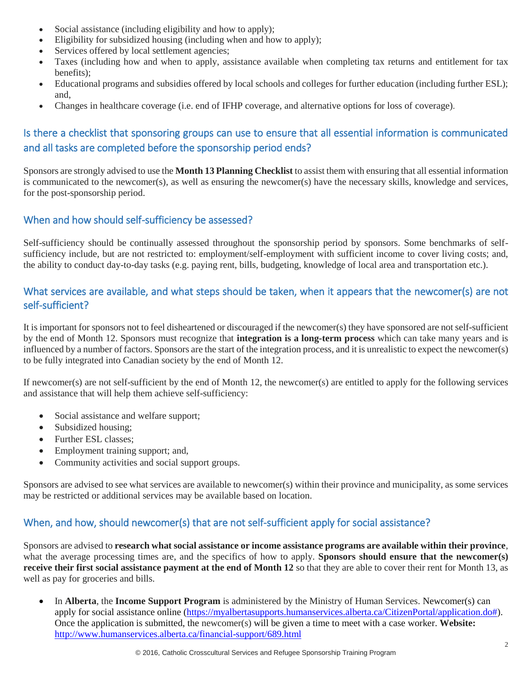- Social assistance (including eligibility and how to apply);
- Eligibility for subsidized housing (including when and how to apply);
- Services offered by local settlement agencies;
- Taxes (including how and when to apply, assistance available when completing tax returns and entitlement for tax benefits);
- Educational programs and subsidies offered by local schools and colleges for further education (including further ESL); and,
- Changes in healthcare coverage (i.e. end of IFHP coverage, and alternative options for loss of coverage).

# Is there a checklist that sponsoring groups can use to ensure that all essential information is communicated and all tasks are completed before the sponsorship period ends?

Sponsors are strongly advised to use the **Month 13 Planning Checklist** to assist them with ensuring that all essential information is communicated to the newcomer(s), as well as ensuring the newcomer(s) have the necessary skills, knowledge and services, for the post-sponsorship period.

## When and how should self-sufficiency be assessed?

Self-sufficiency should be continually assessed throughout the sponsorship period by sponsors. Some benchmarks of selfsufficiency include, but are not restricted to: employment/self-employment with sufficient income to cover living costs; and, the ability to conduct day-to-day tasks (e.g. paying rent, bills, budgeting, knowledge of local area and transportation etc.).

## What services are available, and what steps should be taken, when it appears that the newcomer(s) are not self-sufficient?

It is important for sponsors not to feel disheartened or discouraged if the newcomer(s) they have sponsored are not self-sufficient by the end of Month 12. Sponsors must recognize that **integration is a long-term process** which can take many years and is influenced by a number of factors. Sponsors are the start of the integration process, and it is unrealistic to expect the newcomer(s) to be fully integrated into Canadian society by the end of Month 12.

If newcomer(s) are not self-sufficient by the end of Month 12, the newcomer(s) are entitled to apply for the following services and assistance that will help them achieve self-sufficiency:

- Social assistance and welfare support;
- Subsidized housing:
- Further ESL classes;
- Employment training support; and,
- Community activities and social support groups.

Sponsors are advised to see what services are available to newcomer(s) within their province and municipality, as some services may be restricted or additional services may be available based on location.

# When, and how, should newcomer(s) that are not self-sufficient apply for social assistance?

Sponsors are advised to **research what social assistance or income assistance programs are available within their province**, what the average processing times are, and the specifics of how to apply. **Sponsors should ensure that the newcomer(s) receive their first social assistance payment at the end of Month 12** so that they are able to cover their rent for Month 13, as well as pay for groceries and bills.

 In **Alberta**, the **Income Support Program** is administered by the Ministry of Human Services. Newcomer(s) can apply for social assistance online [\(https://myalbertasupports.humanservices.alberta.ca/CitizenPortal/application.do#\)](https://myalbertasupports.humanservices.alberta.ca/CitizenPortal/application.do). Once the application is submitted, the newcomer(s) will be given a time to meet with a case worker. **Website:** <http://www.humanservices.alberta.ca/financial-support/689.html>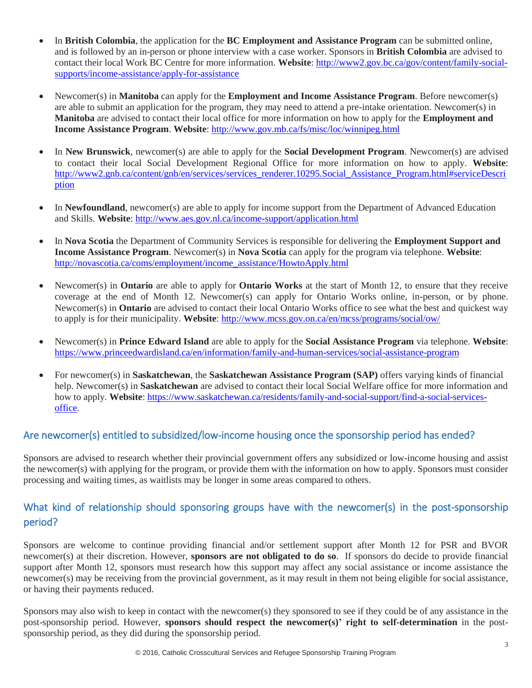- In **British Colombia**, the application for the **BC Employment and Assistance Program** can be submitted online, and is followed by an in-person or phone interview with a case worker. Sponsors in **British Colombia** are advised to contact their local Work BC Centre for more information. **Website**: [http://www2.gov.bc.ca/gov/content/family-social](http://www2.gov.bc.ca/gov/content/family-social-supports/income-assistance/apply-for-assistance)[supports/income-assistance/apply-for-assistance](http://www2.gov.bc.ca/gov/content/family-social-supports/income-assistance/apply-for-assistance)
- Newcomer(s) in **Manitoba** can apply for the **Employment and Income Assistance Program**. Before newcomer(s) are able to submit an application for the program, they may need to attend a pre-intake orientation. Newcomer(s) in **Manitoba** are advised to contact their local office for more information on how to apply for the **Employment and Income Assistance Program**. **Website**:<http://www.gov.mb.ca/fs/misc/loc/winnipeg.html>
- In **New Brunswick**, newcomer(s) are able to apply for the **Social Development Program**. Newcomer(s) are advised to contact their local Social Development Regional Office for more information on how to apply. **Website**: [http://www2.gnb.ca/content/gnb/en/services/services\\_renderer.10295.Social\\_Assistance\\_Program.html#serviceDescri](http://www2.gnb.ca/content/gnb/en/services/services_renderer.10295.Social_Assistance_Program.html#serviceDescription) [ption](http://www2.gnb.ca/content/gnb/en/services/services_renderer.10295.Social_Assistance_Program.html#serviceDescription)
- In **Newfoundland**, newcomer(s) are able to apply for income support from the Department of Advanced Education and Skills. **Website**:<http://www.aes.gov.nl.ca/income-support/application.html>
- In **Nova Scotia** the Department of Community Services is responsible for delivering the **Employment Support and Income Assistance Program**. Newcomer(s) in **Nova Scotia** can apply for the program via telephone. **Website**: [http://novascotia.ca/coms/employment/income\\_assistance/HowtoApply.html](http://novascotia.ca/coms/employment/income_assistance/HowtoApply.html)
- Newcomer(s) in **Ontario** are able to apply for **Ontario Works** at the start of Month 12, to ensure that they receive coverage at the end of Month 12. Newcomer(s) can apply for Ontario Works online, in-person, or by phone. Newcomer(s) in **Ontario** are advised to contact their local Ontario Works office to see what the best and quickest way to apply is for their municipality. **Website**:<http://www.mcss.gov.on.ca/en/mcss/programs/social/ow/>
- Newcomer(s) in **Prince Edward Island** are able to apply for the **Social Assistance Program** via telephone. **Website**: <https://www.princeedwardisland.ca/en/information/family-and-human-services/social-assistance-program>
- For newcomer(s) in **Saskatchewan**, the **Saskatchewan Assistance Program (SAP)** offers varying kinds of financial help. Newcomer(s) in **Saskatchewan** are advised to contact their local Social Welfare office for more information and how to apply. **Website**[: https://www.saskatchewan.ca/residents/family-and-social-support/find-a-social-services](https://www.saskatchewan.ca/residents/family-and-social-support/find-a-social-services-office)[office.](https://www.saskatchewan.ca/residents/family-and-social-support/find-a-social-services-office)

## Are newcomer(s) entitled to subsidized/low-income housing once the sponsorship period has ended?

Sponsors are advised to research whether their provincial government offers any subsidized or low-income housing and assist the newcomer(s) with applying for the program, or provide them with the information on how to apply. Sponsors must consider processing and waiting times, as waitlists may be longer in some areas compared to others.

# What kind of relationship should sponsoring groups have with the newcomer(s) in the post-sponsorship period?

Sponsors are welcome to continue providing financial and/or settlement support after Month 12 for PSR and BVOR newcomer(s) at their discretion. However, **sponsors are not obligated to do so**. If sponsors do decide to provide financial support after Month 12, sponsors must research how this support may affect any social assistance or income assistance the newcomer(s) may be receiving from the provincial government, as it may result in them not being eligible for social assistance, or having their payments reduced.

Sponsors may also wish to keep in contact with the newcomer(s) they sponsored to see if they could be of any assistance in the post-sponsorship period. However, **sponsors should respect the newcomer(s)' right to self-determination** in the postsponsorship period, as they did during the sponsorship period.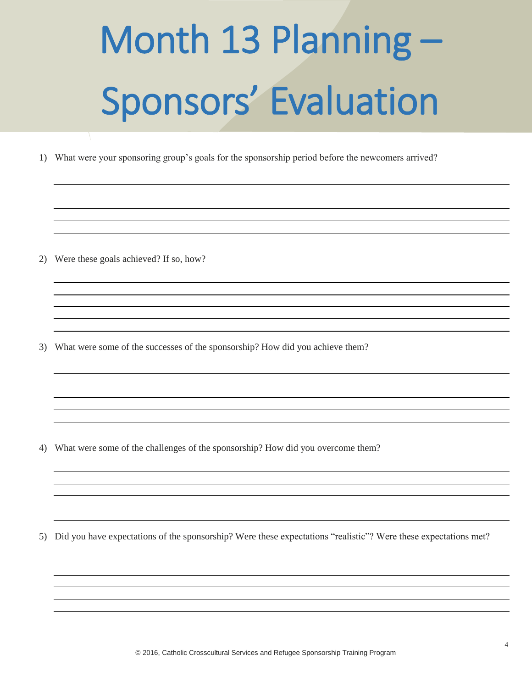# Month 13 Planning – Sponsors' Evaluation

1) What were your sponsoring group's goals for the sponsorship period before the newcomers arrived?

2) Were these goals achieved? If so, how?

3) What were some of the successes of the sponsorship? How did you achieve them?

4) What were some of the challenges of the sponsorship? How did you overcome them?

5) Did you have expectations of the sponsorship? Were these expectations "realistic"? Were these expectations met?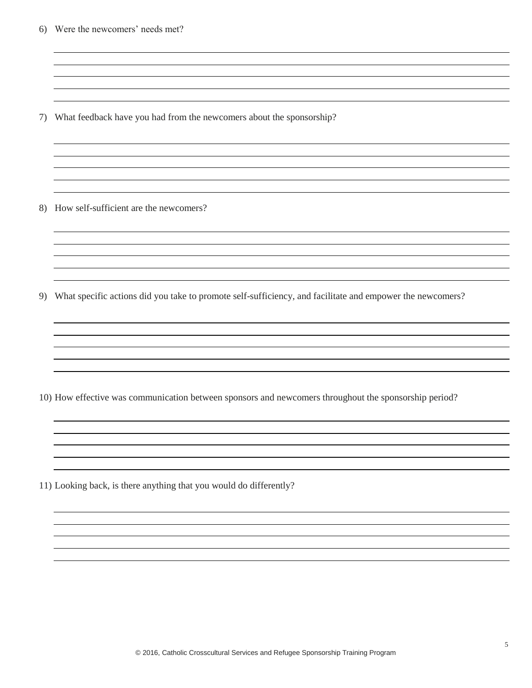6) Were the newcomers' needs met?

7) What feedback have you had from the newcomers about the sponsorship?

8) How self-sufficient are the newcomers?

9) What specific actions did you take to promote self-sufficiency, and facilitate and empower the newcomers?

10) How effective was communication between sponsors and newcomers throughout the sponsorship period?

11) Looking back, is there anything that you would do differently?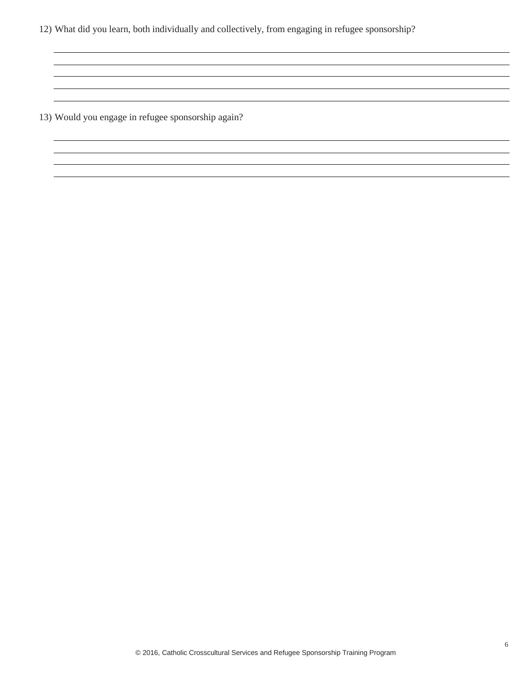12) What did you learn, both individually and collectively, from engaging in refugee sponsorship?

<u> 1980 - Andrea Santa Alemania, amerikana amerikana amerikana amerikana amerikana amerikana amerikana amerikan</u>

13) Would you engage in refugee sponsorship again?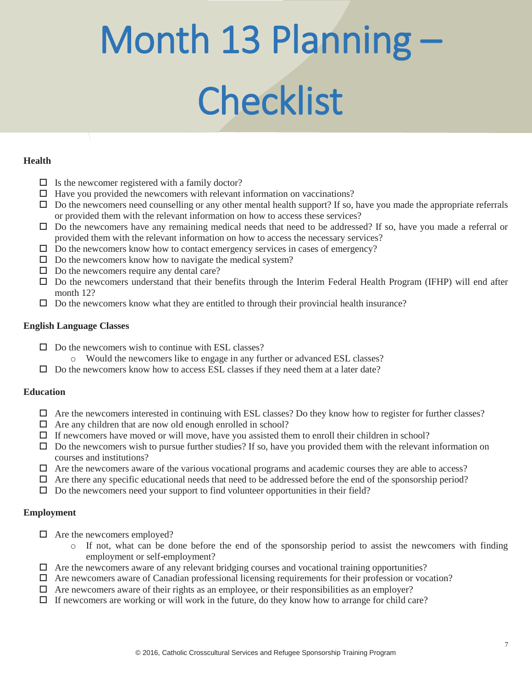# Month 13 Planning – **Checklist**

#### **Health**

- $\Box$  Is the new comer registered with a family doctor?
- $\Box$  Have you provided the new omers with relevant information on vaccinations?
- $\Box$  Do the new comers need counselling or any other mental health support? If so, have you made the appropriate referrals or provided them with the relevant information on how to access these services?
- Do the newcomers have any remaining medical needs that need to be addressed? If so, have you made a referral or provided them with the relevant information on how to access the necessary services?
- $\Box$  Do the new comers know how to contact emergency services in cases of emergency?
- $\square$  Do the new comers know how to navigate the medical system?
- $\Box$  Do the new comers require any dental care?
- $\square$  Do the new comers understand that their benefits through the Interim Federal Health Program (IFHP) will end after month 12?
- $\square$  Do the new comers know what they are entitled to through their provincial health insurance?

#### **English Language Classes**

- $\Box$  Do the new comers wish to continue with ESL classes?
	- o Would the newcomers like to engage in any further or advanced ESL classes?
- $\Box$  Do the new comers know how to access ESL classes if they need them at a later date?

### **Education**

- $\Box$  Are the new comers interested in continuing with ESL classes? Do they know how to register for further classes?
- $\Box$  Are any children that are now old enough enrolled in school?
- $\Box$  If new comers have moved or will move, have you assisted them to enroll their children in school?
- $\Box$  Do the new comers wish to pursue further studies? If so, have you provided them with the relevant information on courses and institutions?
- $\Box$  Are the new comers aware of the various vocational programs and academic courses they are able to access?
- $\Box$  Are there any specific educational needs that need to be addressed before the end of the sponsorship period?
- $\square$  Do the new comers need your support to find volunteer opportunities in their field?

### **Employment**

- $\Box$  Are the new comers employed?
	- o If not, what can be done before the end of the sponsorship period to assist the newcomers with finding employment or self-employment?
- $\Box$  Are the new comers aware of any relevant bridging courses and vocational training opportunities?
- $\Box$  Are new comers aware of Canadian professional licensing requirements for their profession or vocation?
- $\Box$  Are new comers aware of their rights as an employee, or their responsibilities as an employer?
- $\Box$  If new comers are working or will work in the future, do they know how to arrange for child care?